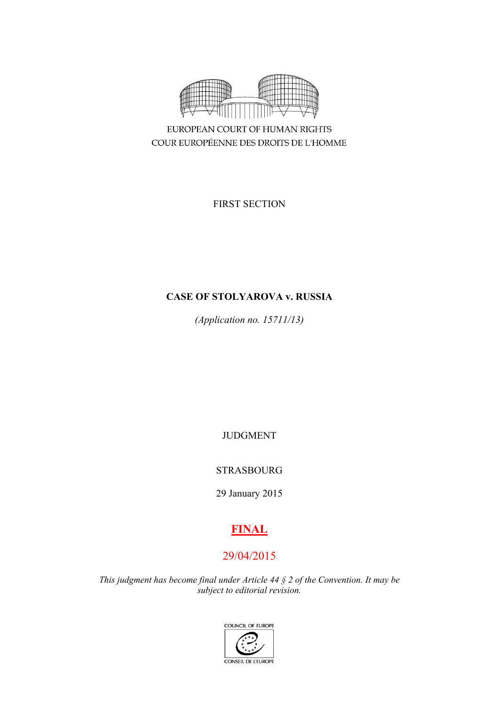

EUROPEAN COURT OF HUMAN RIGHTS COUR EUROPÉENNE DES DROITS DE L'HOMME

FIRST SECTION

# **CASE OF STOLYAROVA v. RUSSIA**

*(Application no. 15711/13)*

JUDGMENT

# STRASBOURG

29 January 2015

# **FINAL**

# 29/04/2015

*This judgment has become final under Article 44 § 2 of the Convention. It may be subject to editorial revision.*

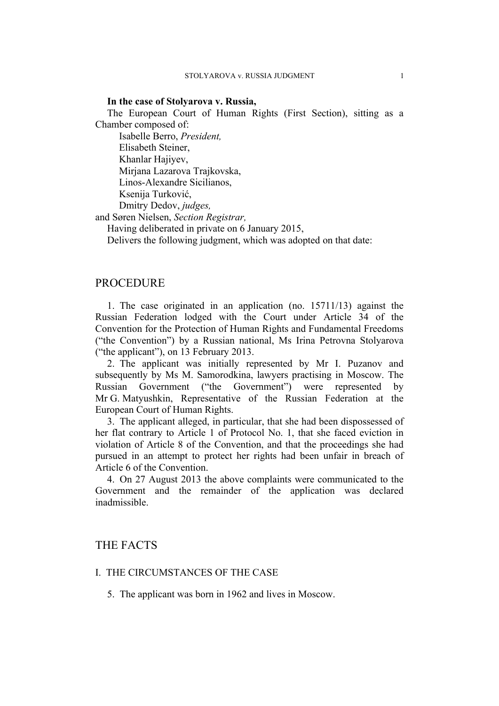#### **In the case of Stolyarova v. Russia,**

The European Court of Human Rights (First Section), sitting as a Chamber composed of:

Isabelle Berro, *President,* Elisabeth Steiner, Khanlar Hajiyev, Mirjana Lazarova Trajkovska, Linos-Alexandre Sicilianos, Ksenija Turković, Dmitry Dedov, *judges,*

and Søren Nielsen, *Section Registrar,*

Having deliberated in private on 6 January 2015,

Delivers the following judgment, which was adopted on that date:

# **PROCEDURE**

1. The case originated in an application (no. 15711/13) against the Russian Federation lodged with the Court under Article 34 of the Convention for the Protection of Human Rights and Fundamental Freedoms ("the Convention") by a Russian national, Ms Irina Petrovna Stolyarova ("the applicant"), on 13 February 2013.

2. The applicant was initially represented by Mr I. Puzanov and subsequently by Ms M. Samorodkina, lawyers practising in Moscow. The Russian Government ("the Government") were represented by Mr G. Matyushkin, Representative of the Russian Federation at the European Court of Human Rights.

3. The applicant alleged, in particular, that she had been dispossessed of her flat contrary to Article 1 of Protocol No. 1, that she faced eviction in violation of Article 8 of the Convention, and that the proceedings she had pursued in an attempt to protect her rights had been unfair in breach of Article 6 of the Convention.

4. On 27 August 2013 the above complaints were communicated to the Government and the remainder of the application was declared inadmissible.

# THE FACTS

## I. THE CIRCUMSTANCES OF THE CASE

5. The applicant was born in 1962 and lives in Moscow.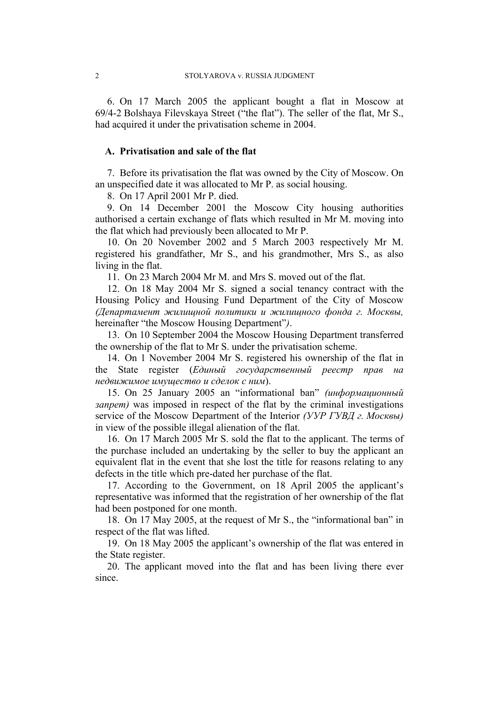6. On 17 March 2005 the applicant bought a flat in Moscow at 69/4-2 Bolshaya Filevskaya Street ("the flat"). The seller of the flat, Mr S., had acquired it under the privatisation scheme in 2004.

# **A. Privatisation and sale of the flat**

7. Before its privatisation the flat was owned by the City of Moscow. On an unspecified date it was allocated to Mr P. as social housing.

8. On 17 April 2001 Mr P. died.

9. On 14 December 2001 the Moscow City housing authorities authorised a certain exchange of flats which resulted in Mr M. moving into the flat which had previously been allocated to Mr P.

10. On 20 November 2002 and 5 March 2003 respectively Mr M. registered his grandfather, Mr S., and his grandmother, Mrs S., as also living in the flat.

11. On 23 March 2004 Mr M. and Mrs S. moved out of the flat.

12. On 18 May 2004 Mr S. signed a social tenancy contract with the Housing Policy and Housing Fund Department of the City of Moscow *(Департамент жилищной политики и жилищного фонда г. Москвы,* hereinafter "the Moscow Housing Department"*)*.

13. On 10 September 2004 the Moscow Housing Department transferred the ownership of the flat to Mr S. under the privatisation scheme.

14. On 1 November 2004 Mr S. registered his ownership of the flat in the State register (*Единый государственный реестр прав на недвижимое имущество и сделок с ним*).

15. On 25 January 2005 an "informational ban" *(информационный 3anpem* was imposed in respect of the flat by the criminal investigations service of the Moscow Department of the Interior *(УУР ГУВД г. Москвы)* in view of the possible illegal alienation of the flat.

16. On 17 March 2005 Mr S. sold the flat to the applicant. The terms of the purchase included an undertaking by the seller to buy the applicant an equivalent flat in the event that she lost the title for reasons relating to any defects in the title which pre-dated her purchase of the flat.

17. According to the Government, on 18 April 2005 the applicant's representative was informed that the registration of her ownership of the flat had been postponed for one month.

18. On 17 May 2005, at the request of Mr S., the "informational ban" in respect of the flat was lifted.

19. On 18 May 2005 the applicant's ownership of the flat was entered in the State register.

20. The applicant moved into the flat and has been living there ever since.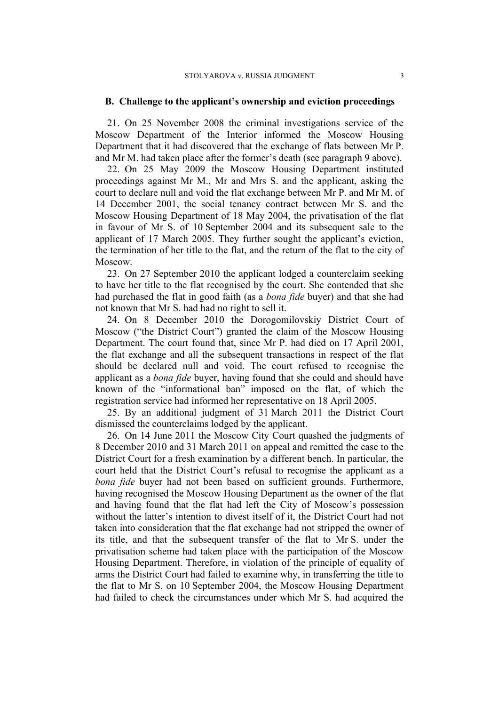## **B. Challenge to the applicant's ownership and eviction proceedings**

21. On 25 November 2008 the criminal investigations service of the Moscow Department of the Interior informed the Moscow Housing Department that it had discovered that the exchange of flats between Mr P. and Mr M. had taken place after the former's death (see paragraph 9 above).

22. On 25 May 2009 the Moscow Housing Department instituted proceedings against Mr M., Mr and Mrs S. and the applicant, asking the court to declare null and void the flat exchange between Mr P. and Mr M. of 14 December 2001, the social tenancy contract between Mr S. and the Moscow Housing Department of 18 May 2004, the privatisation of the flat in favour of Mr S. of 10 September 2004 and its subsequent sale to the applicant of 17 March 2005. They further sought the applicant's eviction, the termination of her title to the flat, and the return of the flat to the city of Moscow.

23. On 27 September 2010 the applicant lodged a counterclaim seeking to have her title to the flat recognised by the court. She contended that she had purchased the flat in good faith (as a *bona fide* buyer) and that she had not known that Mr S. had had no right to sell it.

24. On 8 December 2010 the Dorogomilovskiy District Court of Moscow ("the District Court") granted the claim of the Moscow Housing Department. The court found that, since Mr P. had died on 17 April 2001, the flat exchange and all the subsequent transactions in respect of the flat should be declared null and void. The court refused to recognise the applicant as a *bona fide* buyer, having found that she could and should have known of the "informational ban" imposed on the flat, of which the registration service had informed her representative on 18 April 2005.

25. By an additional judgment of 31 March 2011 the District Court dismissed the counterclaims lodged by the applicant.

26. On 14 June 2011 the Moscow City Court quashed the judgments of 8 December 2010 and 31 March 2011 on appeal and remitted the case to the District Court for a fresh examination by a different bench. In particular, the court held that the District Court's refusal to recognise the applicant as a *bona fide* buyer had not been based on sufficient grounds. Furthermore, having recognised the Moscow Housing Department as the owner of the flat and having found that the flat had left the City of Moscow's possession without the latter's intention to divest itself of it, the District Court had not taken into consideration that the flat exchange had not stripped the owner of its title, and that the subsequent transfer of the flat to Mr S. under the privatisation scheme had taken place with the participation of the Moscow Housing Department. Therefore, in violation of the principle of equality of arms the District Court had failed to examine why, in transferring the title to the flat to Mr S. on 10 September 2004, the Moscow Housing Department had failed to check the circumstances under which Mr S. had acquired the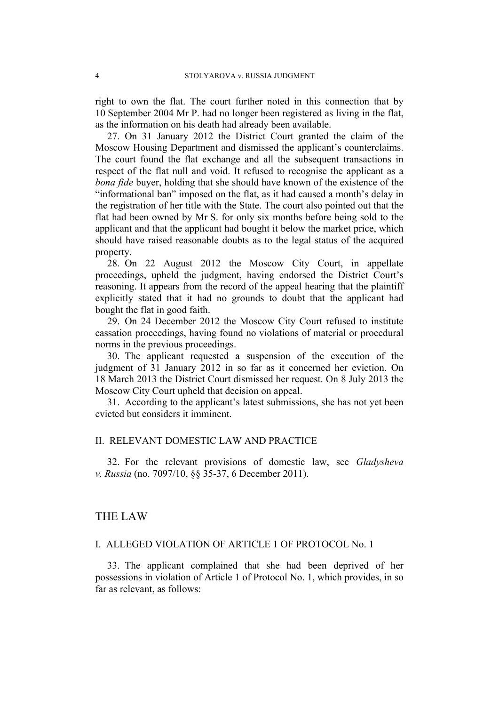right to own the flat. The court further noted in this connection that by 10 September 2004 Mr P. had no longer been registered as living in the flat, as the information on his death had already been available.

27. On 31 January 2012 the District Court granted the claim of the Moscow Housing Department and dismissed the applicant's counterclaims. The court found the flat exchange and all the subsequent transactions in respect of the flat null and void. It refused to recognise the applicant as a *bona fide* buyer, holding that she should have known of the existence of the "informational ban" imposed on the flat, as it had caused a month's delay in the registration of her title with the State. The court also pointed out that the flat had been owned by Mr S. for only six months before being sold to the applicant and that the applicant had bought it below the market price, which should have raised reasonable doubts as to the legal status of the acquired property.

28. On 22 August 2012 the Moscow City Court, in appellate proceedings, upheld the judgment, having endorsed the District Court's reasoning. It appears from the record of the appeal hearing that the plaintiff explicitly stated that it had no grounds to doubt that the applicant had bought the flat in good faith.

29. On 24 December 2012 the Moscow City Court refused to institute cassation proceedings, having found no violations of material or procedural norms in the previous proceedings.

30. The applicant requested a suspension of the execution of the judgment of 31 January 2012 in so far as it concerned her eviction. On 18 March 2013 the District Court dismissed her request. On 8 July 2013 the Moscow City Court upheld that decision on appeal.

31. According to the applicant's latest submissions, she has not yet been evicted but considers it imminent.

# II. RELEVANT DOMESTIC LAW AND PRACTICE

32. For the relevant provisions of domestic law, see *Gladysheva v. Russia* (no. 7097/10, §§ 35-37, 6 December 2011).

## THE LAW

## I. ALLEGED VIOLATION OF ARTICLE 1 OF PROTOCOL No. 1

33. The applicant complained that she had been deprived of her possessions in violation of Article 1 of Protocol No. 1, which provides, in so far as relevant, as follows: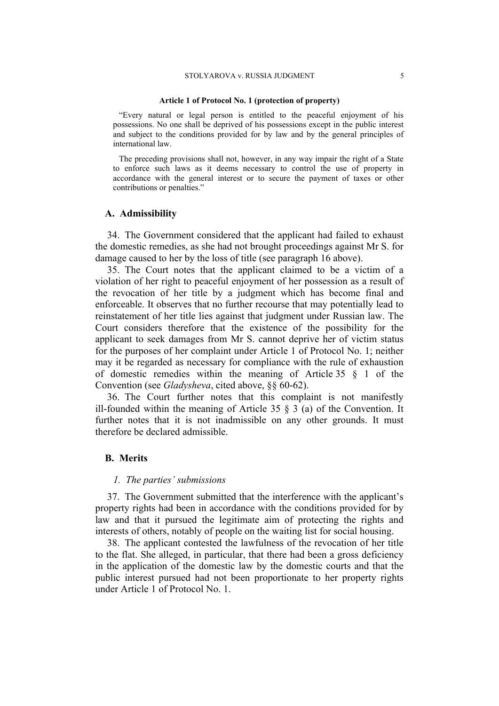#### **Article 1 of Protocol No. 1 (protection of property)**

"Every natural or legal person is entitled to the peaceful enjoyment of his possessions. No one shall be deprived of his possessions except in the public interest and subject to the conditions provided for by law and by the general principles of international law.

The preceding provisions shall not, however, in any way impair the right of a State to enforce such laws as it deems necessary to control the use of property in accordance with the general interest or to secure the payment of taxes or other contributions or penalties."

#### **A. Admissibility**

34. The Government considered that the applicant had failed to exhaust the domestic remedies, as she had not brought proceedings against Mr S. for damage caused to her by the loss of title (see paragraph 16 above).

35. The Court notes that the applicant claimed to be a victim of a violation of her right to peaceful enjoyment of her possession as a result of the revocation of her title by a judgment which has become final and enforceable. It observes that no further recourse that may potentially lead to reinstatement of her title lies against that judgment under Russian law. The Court considers therefore that the existence of the possibility for the applicant to seek damages from Mr S. cannot deprive her of victim status for the purposes of her complaint under Article 1 of Protocol No. 1; neither may it be regarded as necessary for compliance with the rule of exhaustion of domestic remedies within the meaning of Article 35 § 1 of the Convention (see *Gladysheva*, cited above, §§ 60-62).

36. The Court further notes that this complaint is not manifestly ill-founded within the meaning of Article 35  $\frac{8}{3}$  (a) of the Convention. It further notes that it is not inadmissible on any other grounds. It must therefore be declared admissible.

### **B. Merits**

#### *1. The parties' submissions*

37. The Government submitted that the interference with the applicant's property rights had been in accordance with the conditions provided for by law and that it pursued the legitimate aim of protecting the rights and interests of others, notably of people on the waiting list for social housing.

38. The applicant contested the lawfulness of the revocation of her title to the flat. She alleged, in particular, that there had been a gross deficiency in the application of the domestic law by the domestic courts and that the public interest pursued had not been proportionate to her property rights under Article 1 of Protocol No. 1.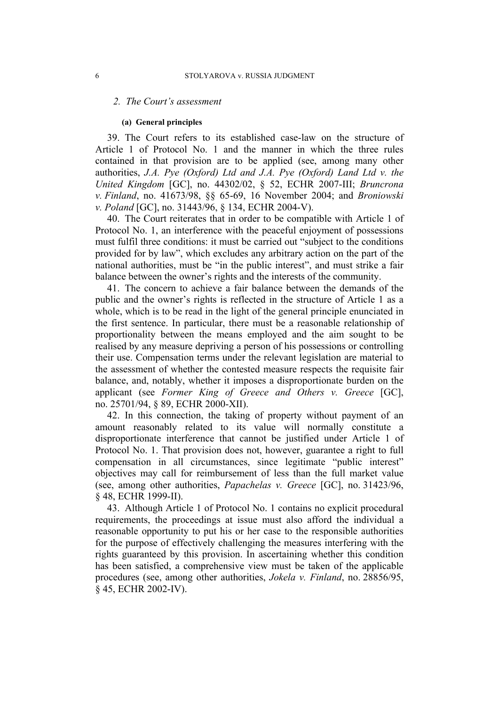#### *2. The Court's assessment*

#### **(a) General principles**

39. The Court refers to its established case-law on the structure of Article 1 of Protocol No. 1 and the manner in which the three rules contained in that provision are to be applied (see, among many other authorities, *J.A. Pye (Oxford) Ltd and J.A. Pye (Oxford) Land Ltd v. the United Kingdom* [GC], no. 44302/02, § 52, ECHR 2007-III; *Bruncrona v. Finland*, no. 41673/98, §§ 65-69, 16 November 2004; and *Broniowski v. Poland* [GC], no. 31443/96, § 134, ECHR 2004-V).

40. The Court reiterates that in order to be compatible with Article 1 of Protocol No. 1, an interference with the peaceful enjoyment of possessions must fulfil three conditions: it must be carried out "subject to the conditions provided for by law", which excludes any arbitrary action on the part of the national authorities, must be "in the public interest", and must strike a fair balance between the owner's rights and the interests of the community.

41. The concern to achieve a fair balance between the demands of the public and the owner's rights is reflected in the structure of Article 1 as a whole, which is to be read in the light of the general principle enunciated in the first sentence. In particular, there must be a reasonable relationship of proportionality between the means employed and the aim sought to be realised by any measure depriving a person of his possessions or controlling their use. Compensation terms under the relevant legislation are material to the assessment of whether the contested measure respects the requisite fair balance, and, notably, whether it imposes a disproportionate burden on the applicant (see *Former King of Greece and Others v. Greece* [GC], no. 25701/94, § 89, ECHR 2000-XII).

42. In this connection, the taking of property without payment of an amount reasonably related to its value will normally constitute a disproportionate interference that cannot be justified under Article 1 of Protocol No. 1. That provision does not, however, guarantee a right to full compensation in all circumstances, since legitimate "public interest" objectives may call for reimbursement of less than the full market value (see, among other authorities, *Papachelas v. Greece* [GC], no. 31423/96, § 48, ECHR 1999-II).

43. Although Article 1 of Protocol No. 1 contains no explicit procedural requirements, the proceedings at issue must also afford the individual a reasonable opportunity to put his or her case to the responsible authorities for the purpose of effectively challenging the measures interfering with the rights guaranteed by this provision. In ascertaining whether this condition has been satisfied, a comprehensive view must be taken of the applicable procedures (see, among other authorities, *Jokela v. Finland*, no. 28856/95, § 45, ECHR 2002-IV).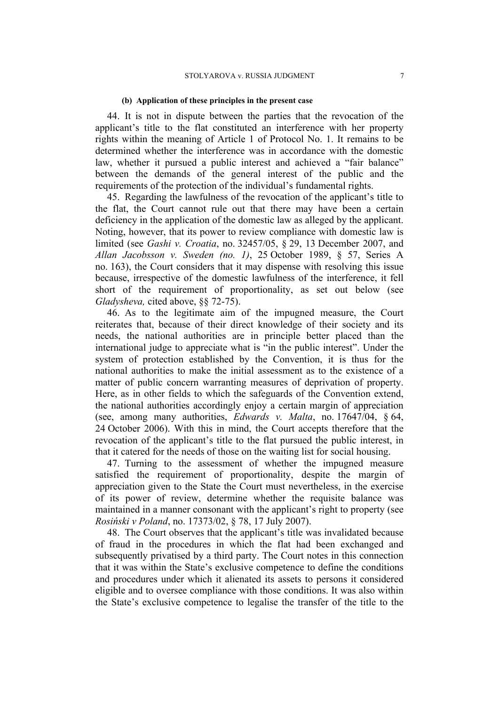#### **(b) Application of these principles in the present case**

44. It is not in dispute between the parties that the revocation of the applicant's title to the flat constituted an interference with her property rights within the meaning of Article 1 of Protocol No. 1. It remains to be determined whether the interference was in accordance with the domestic law, whether it pursued a public interest and achieved a "fair balance" between the demands of the general interest of the public and the requirements of the protection of the individual's fundamental rights.

45. Regarding the lawfulness of the revocation of the applicant's title to the flat, the Court cannot rule out that there may have been a certain deficiency in the application of the domestic law as alleged by the applicant. Noting, however, that its power to review compliance with domestic law is limited (see *Gashi v. Croatia*, no. 32457/05, § 29, 13 December 2007, and *Allan Jacobsson v. Sweden (no. 1)*, 25 October 1989, § 57, Series A no. 163), the Court considers that it may dispense with resolving this issue because, irrespective of the domestic lawfulness of the interference, it fell short of the requirement of proportionality, as set out below (see *Gladysheva,* cited above, §§ 72-75).

46. As to the legitimate aim of the impugned measure, the Court reiterates that, because of their direct knowledge of their society and its needs, the national authorities are in principle better placed than the international judge to appreciate what is "in the public interest". Under the system of protection established by the Convention, it is thus for the national authorities to make the initial assessment as to the existence of a matter of public concern warranting measures of deprivation of property. Here, as in other fields to which the safeguards of the Convention extend, the national authorities accordingly enjoy a certain margin of appreciation (see, among many authorities, *Edwards v. Malta*, no. 17647/04, § 64, 24 October 2006). With this in mind, the Court accepts therefore that the revocation of the applicant's title to the flat pursued the public interest, in that it catered for the needs of those on the waiting list for social housing.

47. Turning to the assessment of whether the impugned measure satisfied the requirement of proportionality, despite the margin of appreciation given to the State the Court must nevertheless, in the exercise of its power of review, determine whether the requisite balance was maintained in a manner consonant with the applicant's right to property (see *Rosiński v Poland*, no. 17373/02, § 78, 17 July 2007).

48. The Court observes that the applicant's title was invalidated because of fraud in the procedures in which the flat had been exchanged and subsequently privatised by a third party. The Court notes in this connection that it was within the State's exclusive competence to define the conditions and procedures under which it alienated its assets to persons it considered eligible and to oversee compliance with those conditions. It was also within the State's exclusive competence to legalise the transfer of the title to the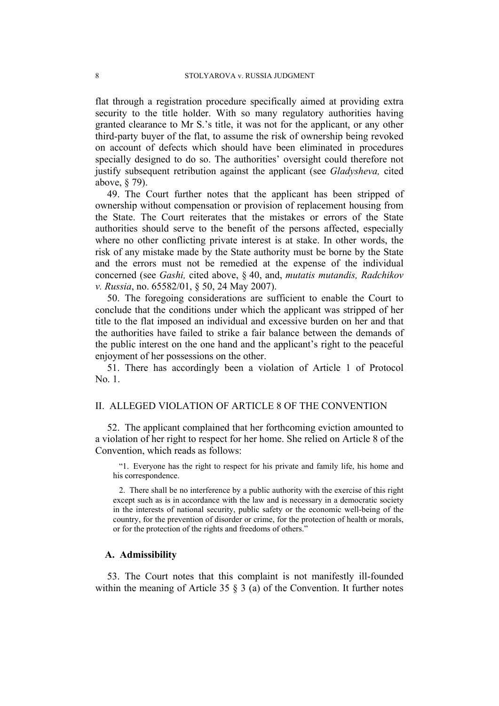flat through a registration procedure specifically aimed at providing extra security to the title holder. With so many regulatory authorities having granted clearance to Mr S.'s title, it was not for the applicant, or any other third-party buyer of the flat, to assume the risk of ownership being revoked on account of defects which should have been eliminated in procedures specially designed to do so. The authorities' oversight could therefore not justify subsequent retribution against the applicant (see *Gladysheva,* cited above, § 79).

49. The Court further notes that the applicant has been stripped of ownership without compensation or provision of replacement housing from the State. The Court reiterates that the mistakes or errors of the State authorities should serve to the benefit of the persons affected, especially where no other conflicting private interest is at stake. In other words, the risk of any mistake made by the State authority must be borne by the State and the errors must not be remedied at the expense of the individual concerned (see *Gashi,* cited above, § 40, and, *mutatis mutandis, Radchikov v. Russia*, no. 65582/01, § 50, 24 May 2007).

50. The foregoing considerations are sufficient to enable the Court to conclude that the conditions under which the applicant was stripped of her title to the flat imposed an individual and excessive burden on her and that the authorities have failed to strike a fair balance between the demands of the public interest on the one hand and the applicant's right to the peaceful enjoyment of her possessions on the other.

51. There has accordingly been a violation of Article 1 of Protocol No. 1.

## II. ALLEGED VIOLATION OF ARTICLE 8 OF THE CONVENTION

52. The applicant complained that her forthcoming eviction amounted to a violation of her right to respect for her home. She relied on Article 8 of the Convention, which reads as follows:

"1. Everyone has the right to respect for his private and family life, his home and his correspondence.

2. There shall be no interference by a public authority with the exercise of this right except such as is in accordance with the law and is necessary in a democratic society in the interests of national security, public safety or the economic well-being of the country, for the prevention of disorder or crime, for the protection of health or morals, or for the protection of the rights and freedoms of others."

### **A. Admissibility**

53. The Court notes that this complaint is not manifestly ill-founded within the meaning of Article 35 § 3 (a) of the Convention. It further notes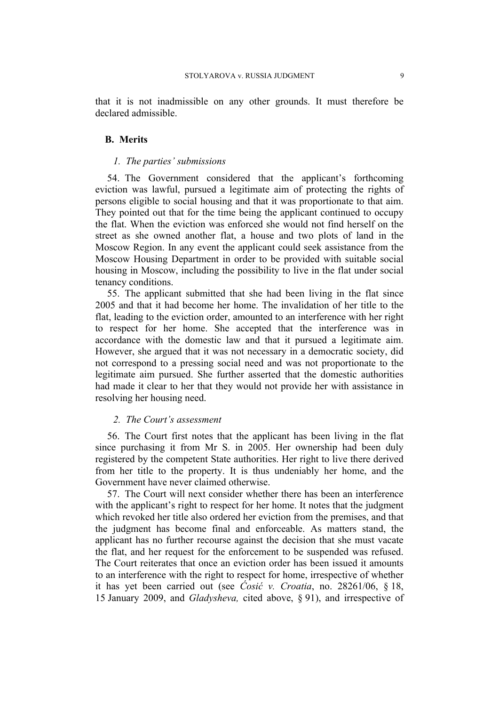that it is not inadmissible on any other grounds. It must therefore be declared admissible.

## **B. Merits**

### *1. The parties' submissions*

54. The Government considered that the applicant's forthcoming eviction was lawful, pursued a legitimate aim of protecting the rights of persons eligible to social housing and that it was proportionate to that aim. They pointed out that for the time being the applicant continued to occupy the flat. When the eviction was enforced she would not find herself on the street as she owned another flat, a house and two plots of land in the Moscow Region. In any event the applicant could seek assistance from the Moscow Housing Department in order to be provided with suitable social housing in Moscow, including the possibility to live in the flat under social tenancy conditions.

55. The applicant submitted that she had been living in the flat since 2005 and that it had become her home. The invalidation of her title to the flat, leading to the eviction order, amounted to an interference with her right to respect for her home. She accepted that the interference was in accordance with the domestic law and that it pursued a legitimate aim. However, she argued that it was not necessary in a democratic society, did not correspond to a pressing social need and was not proportionate to the legitimate aim pursued. She further asserted that the domestic authorities had made it clear to her that they would not provide her with assistance in resolving her housing need.

## *2. The Court's assessment*

56. The Court first notes that the applicant has been living in the flat since purchasing it from Mr S. in 2005. Her ownership had been duly registered by the competent State authorities. Her right to live there derived from her title to the property. It is thus undeniably her home, and the Government have never claimed otherwise.

57. The Court will next consider whether there has been an interference with the applicant's right to respect for her home. It notes that the judgment which revoked her title also ordered her eviction from the premises, and that the judgment has become final and enforceable. As matters stand, the applicant has no further recourse against the decision that she must vacate the flat, and her request for the enforcement to be suspended was refused. The Court reiterates that once an eviction order has been issued it amounts to an interference with the right to respect for home, irrespective of whether it has yet been carried out (see *Ćosić v. Croatia*, no. 28261/06, § 18, 15 January 2009, and *Gladysheva,* cited above, § 91), and irrespective of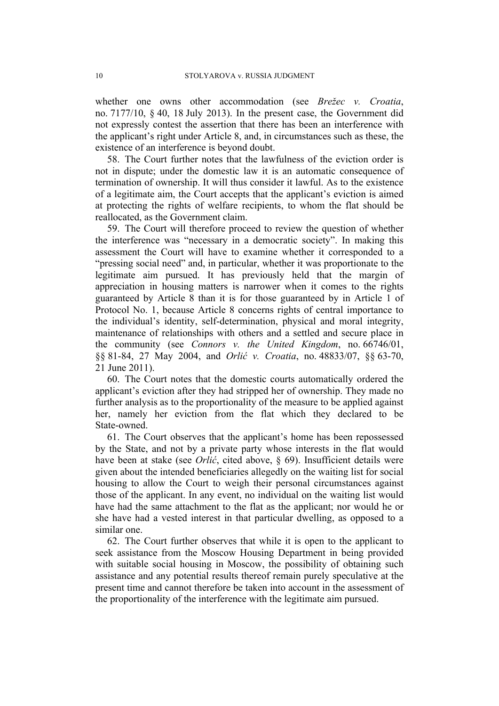whether one owns other accommodation (see *Brežec v. Croatia*, no. 7177/10, § 40, 18 July 2013). In the present case, the Government did not expressly contest the assertion that there has been an interference with the applicant's right under Article 8, and, in circumstances such as these, the existence of an interference is beyond doubt.

58. The Court further notes that the lawfulness of the eviction order is not in dispute; under the domestic law it is an automatic consequence of termination of ownership. It will thus consider it lawful. As to the existence of a legitimate aim, the Court accepts that the applicant's eviction is aimed at protecting the rights of welfare recipients, to whom the flat should be reallocated, as the Government claim.

59. The Court will therefore proceed to review the question of whether the interference was "necessary in a democratic society". In making this assessment the Court will have to examine whether it corresponded to a "pressing social need" and, in particular, whether it was proportionate to the legitimate aim pursued. It has previously held that the margin of appreciation in housing matters is narrower when it comes to the rights guaranteed by Article 8 than it is for those guaranteed by in Article 1 of Protocol No. 1, because Article 8 concerns rights of central importance to the individual's identity, self-determination, physical and moral integrity, maintenance of relationships with others and a settled and secure place in the community (see *Connors v. the United Kingdom*, no. 66746/01, §§ 81-84, 27 May 2004, and *Orlić v. Croatia*, no. 48833/07, §§ 63-70, 21 June 2011).

60. The Court notes that the domestic courts automatically ordered the applicant's eviction after they had stripped her of ownership. They made no further analysis as to the proportionality of the measure to be applied against her, namely her eviction from the flat which they declared to be State-owned.

61. The Court observes that the applicant's home has been repossessed by the State, and not by a private party whose interests in the flat would have been at stake (see *Orlić*, cited above, § 69). Insufficient details were given about the intended beneficiaries allegedly on the waiting list for social housing to allow the Court to weigh their personal circumstances against those of the applicant. In any event, no individual on the waiting list would have had the same attachment to the flat as the applicant; nor would he or she have had a vested interest in that particular dwelling, as opposed to a similar one.

62. The Court further observes that while it is open to the applicant to seek assistance from the Moscow Housing Department in being provided with suitable social housing in Moscow, the possibility of obtaining such assistance and any potential results thereof remain purely speculative at the present time and cannot therefore be taken into account in the assessment of the proportionality of the interference with the legitimate aim pursued.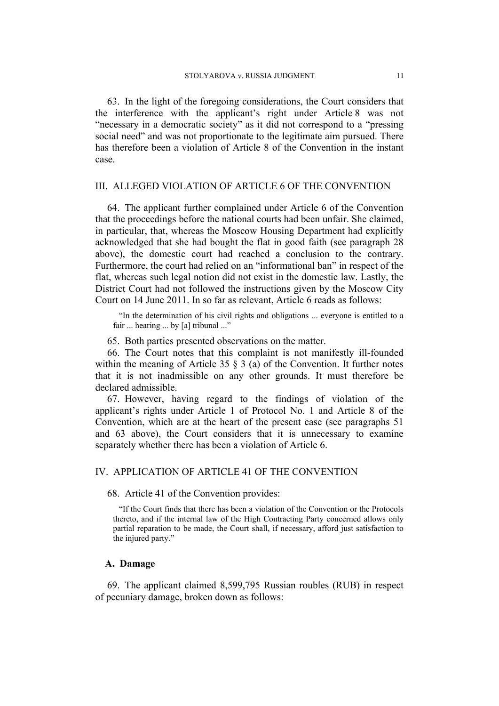63. In the light of the foregoing considerations, the Court considers that the interference with the applicant's right under Article 8 was not "necessary in a democratic society" as it did not correspond to a "pressing social need" and was not proportionate to the legitimate aim pursued. There has therefore been a violation of Article 8 of the Convention in the instant case.

## III. ALLEGED VIOLATION OF ARTICLE 6 OF THE CONVENTION

64. The applicant further complained under Article 6 of the Convention that the proceedings before the national courts had been unfair. She claimed, in particular, that, whereas the Moscow Housing Department had explicitly acknowledged that she had bought the flat in good faith (see paragraph 28 above), the domestic court had reached a conclusion to the contrary. Furthermore, the court had relied on an "informational ban" in respect of the flat, whereas such legal notion did not exist in the domestic law. Lastly, the District Court had not followed the instructions given by the Moscow City Court on 14 June 2011. In so far as relevant, Article 6 reads as follows:

"In the determination of his civil rights and obligations ... everyone is entitled to a fair ... hearing ... by [a] tribunal ..."

65. Both parties presented observations on the matter.

66. The Court notes that this complaint is not manifestly ill-founded within the meaning of Article 35  $\S$  3 (a) of the Convention. It further notes that it is not inadmissible on any other grounds. It must therefore be declared admissible.

67. However, having regard to the findings of violation of the applicant's rights under Article 1 of Protocol No. 1 and Article 8 of the Convention, which are at the heart of the present case (see paragraphs 51 and 63 above), the Court considers that it is unnecessary to examine separately whether there has been a violation of Article 6.

## IV. APPLICATION OF ARTICLE 41 OF THE CONVENTION

68. Article 41 of the Convention provides:

"If the Court finds that there has been a violation of the Convention or the Protocols thereto, and if the internal law of the High Contracting Party concerned allows only partial reparation to be made, the Court shall, if necessary, afford just satisfaction to the injured party."

## **A. Damage**

69. The applicant claimed 8,599,795 Russian roubles (RUB) in respect of pecuniary damage, broken down as follows: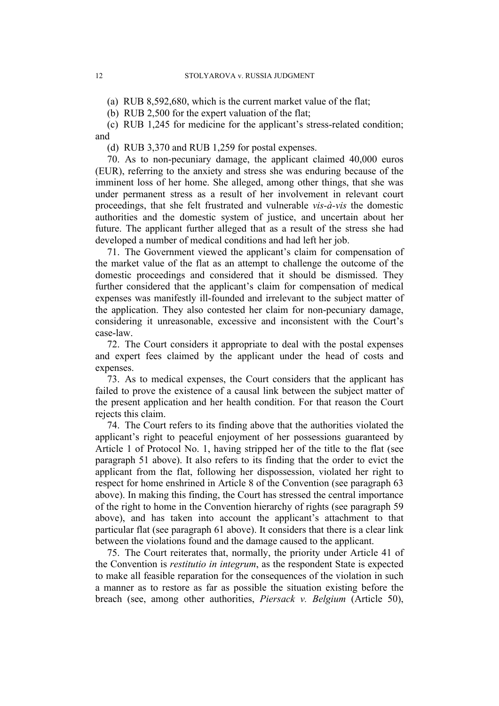(a) RUB 8,592,680, which is the current market value of the flat;

(b) RUB 2,500 for the expert valuation of the flat;

(c) RUB 1,245 for medicine for the applicant's stress-related condition; and

(d) RUB 3,370 and RUB 1,259 for postal expenses.

70. As to non-pecuniary damage, the applicant claimed 40,000 euros (EUR), referring to the anxiety and stress she was enduring because of the imminent loss of her home. She alleged, among other things, that she was under permanent stress as a result of her involvement in relevant court proceedings, that she felt frustrated and vulnerable *vis-à-vis* the domestic authorities and the domestic system of justice, and uncertain about her future. The applicant further alleged that as a result of the stress she had developed a number of medical conditions and had left her job.

71. The Government viewed the applicant's claim for compensation of the market value of the flat as an attempt to challenge the outcome of the domestic proceedings and considered that it should be dismissed. They further considered that the applicant's claim for compensation of medical expenses was manifestly ill-founded and irrelevant to the subject matter of the application. They also contested her claim for non-pecuniary damage, considering it unreasonable, excessive and inconsistent with the Court's case-law.

72. The Court considers it appropriate to deal with the postal expenses and expert fees claimed by the applicant under the head of costs and expenses.

73. As to medical expenses, the Court considers that the applicant has failed to prove the existence of a causal link between the subject matter of the present application and her health condition. For that reason the Court rejects this claim.

74. The Court refers to its finding above that the authorities violated the applicant's right to peaceful enjoyment of her possessions guaranteed by Article 1 of Protocol No. 1, having stripped her of the title to the flat (see paragraph 51 above). It also refers to its finding that the order to evict the applicant from the flat, following her dispossession, violated her right to respect for home enshrined in Article 8 of the Convention (see paragraph 63 above). In making this finding, the Court has stressed the central importance of the right to home in the Convention hierarchy of rights (see paragraph 59 above), and has taken into account the applicant's attachment to that particular flat (see paragraph 61 above). It considers that there is a clear link between the violations found and the damage caused to the applicant.

75. The Court reiterates that, normally, the priority under Article 41 of the Convention is *restitutio in integrum*, as the respondent State is expected to make all feasible reparation for the consequences of the violation in such a manner as to restore as far as possible the situation existing before the breach (see, among other authorities, *Piersack v. Belgium* (Article 50),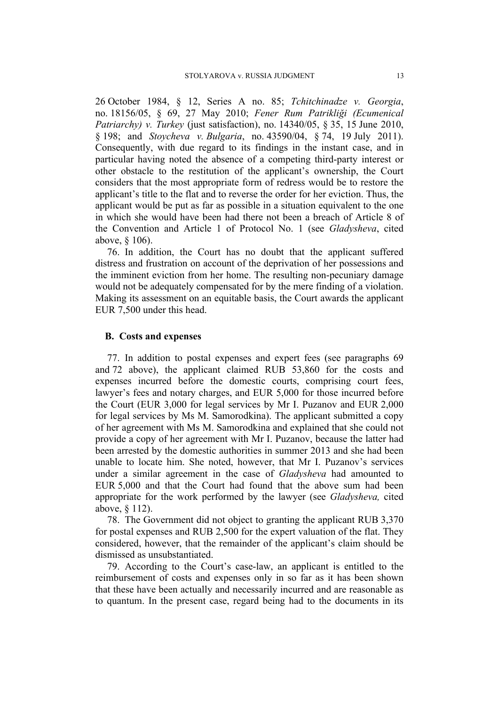26 October 1984, § 12, Series A no. 85; *Tchitchinadze v. Georgia*, no. 18156/05, § 69, 27 May 2010; *Fener Rum Patrikliği (Ecumenical Patriarchy) v. Turkey* (just satisfaction), no. 14340/05, § 35, 15 June 2010, § 198; and *Stoycheva v. Bulgaria*, no. 43590/04, § 74, 19 July 2011). Consequently, with due regard to its findings in the instant case, and in particular having noted the absence of a competing third-party interest or other obstacle to the restitution of the applicant's ownership, the Court considers that the most appropriate form of redress would be to restore the applicant's title to the flat and to reverse the order for her eviction. Thus, the applicant would be put as far as possible in a situation equivalent to the one in which she would have been had there not been a breach of Article 8 of the Convention and Article 1 of Protocol No. 1 (see *Gladysheva*, cited above, § 106).

76. In addition, the Court has no doubt that the applicant suffered distress and frustration on account of the deprivation of her possessions and the imminent eviction from her home. The resulting non-pecuniary damage would not be adequately compensated for by the mere finding of a violation. Making its assessment on an equitable basis, the Court awards the applicant EUR 7,500 under this head.

# **B. Costs and expenses**

77. In addition to postal expenses and expert fees (see paragraphs 69 and 72 above), the applicant claimed RUB 53,860 for the costs and expenses incurred before the domestic courts, comprising court fees, lawyer's fees and notary charges, and EUR 5,000 for those incurred before the Court (EUR 3,000 for legal services by Mr I. Puzanov and EUR 2,000 for legal services by Ms M. Samorodkina). The applicant submitted a copy of her agreement with Ms M. Samorodkina and explained that she could not provide a copy of her agreement with Mr I. Puzanov, because the latter had been arrested by the domestic authorities in summer 2013 and she had been unable to locate him. She noted, however, that Mr I. Puzanov's services under a similar agreement in the case of *Gladysheva* had amounted to EUR 5,000 and that the Court had found that the above sum had been appropriate for the work performed by the lawyer (see *Gladysheva,* cited above, § 112).

78. The Government did not object to granting the applicant RUB 3,370 for postal expenses and RUB 2,500 for the expert valuation of the flat. They considered, however, that the remainder of the applicant's claim should be dismissed as unsubstantiated.

79. According to the Court's case-law, an applicant is entitled to the reimbursement of costs and expenses only in so far as it has been shown that these have been actually and necessarily incurred and are reasonable as to quantum. In the present case, regard being had to the documents in its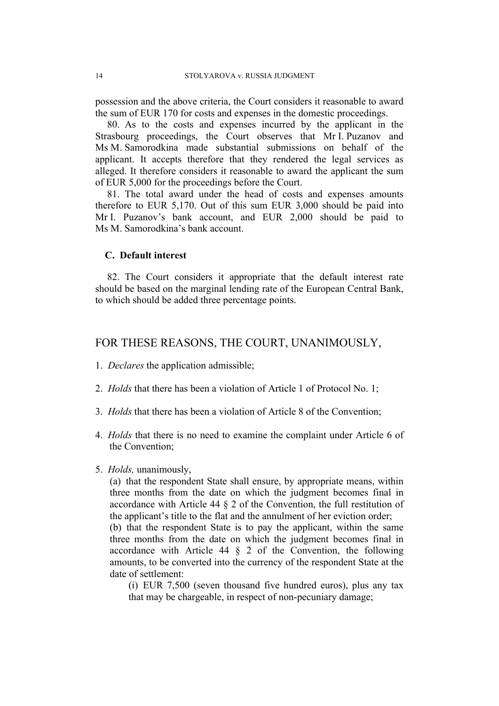possession and the above criteria, the Court considers it reasonable to award the sum of EUR 170 for costs and expenses in the domestic proceedings.

80. As to the costs and expenses incurred by the applicant in the Strasbourg proceedings, the Court observes that Mr I. Puzanov and Ms M. Samorodkina made substantial submissions on behalf of the applicant. It accepts therefore that they rendered the legal services as alleged. It therefore considers it reasonable to award the applicant the sum of EUR 5,000 for the proceedings before the Court.

81. The total award under the head of costs and expenses amounts therefore to EUR 5,170. Out of this sum EUR 3,000 should be paid into Mr I. Puzanov's bank account, and EUR 2,000 should be paid to Ms M. Samorodkina's bank account.

# **C. Default interest**

82. The Court considers it appropriate that the default interest rate should be based on the marginal lending rate of the European Central Bank, to which should be added three percentage points.

# FOR THESE REASONS, THE COURT, UNANIMOUSLY,

- 1. *Declares* the application admissible;
- 2. *Holds* that there has been a violation of Article 1 of Protocol No. 1;
- 3. *Holds* that there has been a violation of Article 8 of the Convention;
- 4. *Holds* that there is no need to examine the complaint under Article 6 of the Convention;
- 5. *Holds,* unanimously,

(a) that the respondent State shall ensure, by appropriate means, within three months from the date on which the judgment becomes final in accordance with Article 44 § 2 of the Convention, the full restitution of the applicant's title to the flat and the annulment of her eviction order;

(b) that the respondent State is to pay the applicant, within the same three months from the date on which the judgment becomes final in accordance with Article 44 § 2 of the Convention, the following amounts, to be converted into the currency of the respondent State at the date of settlement:

(i) EUR 7,500 (seven thousand five hundred euros), plus any tax that may be chargeable, in respect of non-pecuniary damage;